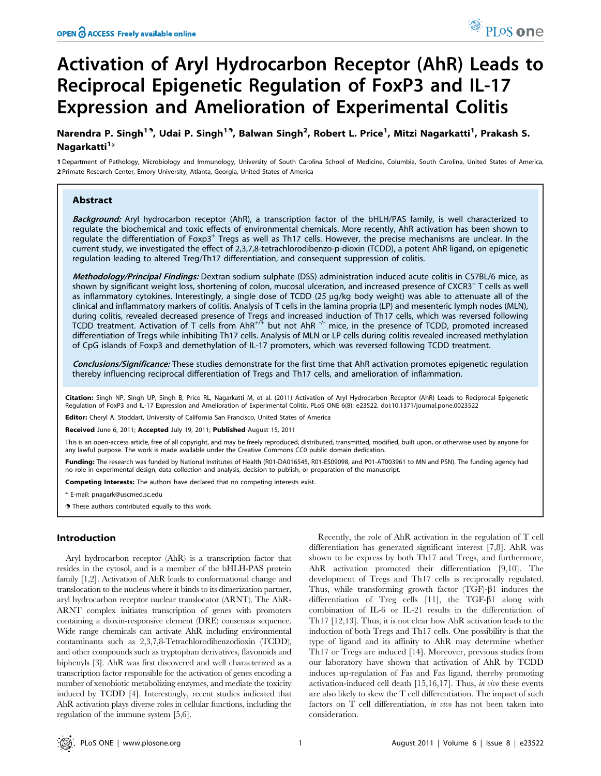# Activation of Aryl Hydrocarbon Receptor (AhR) Leads to Reciprocal Epigenetic Regulation of FoxP3 and IL-17 Expression and Amelioration of Experimental Colitis

## Narendra P. Singh<sup>19</sup>, Udai P. Singh<sup>19</sup>, Balwan Singh<sup>2</sup>, Robert L. Price<sup>1</sup>, Mitzi Nagarkatti<sup>1</sup>, Prakash S. Nagarkatti<sup>1</sup>\*

1 Department of Pathology, Microbiology and Immunology, University of South Carolina School of Medicine, Columbia, South Carolina, United States of America, 2 Primate Research Center, Emory University, Atlanta, Georgia, United States of America

## Abstract

Background: Aryl hydrocarbon receptor (AhR), a transcription factor of the bHLH/PAS family, is well characterized to regulate the biochemical and toxic effects of environmental chemicals. More recently, AhR activation has been shown to regulate the differentiation of Foxp3<sup>+</sup> Tregs as well as Th17 cells. However, the precise mechanisms are unclear. In the current study, we investigated the effect of 2,3,7,8-tetrachlorodibenzo-p-dioxin (TCDD), a potent AhR ligand, on epigenetic regulation leading to altered Treg/Th17 differentiation, and consequent suppression of colitis.

Methodology/Principal Findings: Dextran sodium sulphate (DSS) administration induced acute colitis in C57BL/6 mice, as shown by significant weight loss, shortening of colon, mucosal ulceration, and increased presence of CXCR3<sup>+</sup> T cells as well as inflammatory cytokines. Interestingly, a single dose of TCDD (25 µg/kg body weight) was able to attenuate all of the clinical and inflammatory markers of colitis. Analysis of T cells in the lamina propria (LP) and mesenteric lymph nodes (MLN), during colitis, revealed decreased presence of Tregs and increased induction of Th17 cells, which was reversed following<br>TCDD treatment. Activation of T cells from AhR<sup>+/+</sup> but not AhR <sup>-/-</sup> mice, in the presence of TCDD, differentiation of Tregs while inhibiting Th17 cells. Analysis of MLN or LP cells during colitis revealed increased methylation of CpG islands of Foxp3 and demethylation of IL-17 promoters, which was reversed following TCDD treatment.

Conclusions/Significance: These studies demonstrate for the first time that AhR activation promotes epigenetic regulation thereby influencing reciprocal differentiation of Tregs and Th17 cells, and amelioration of inflammation.

Citation: Singh NP, Singh UP, Singh B, Price RL, Nagarkatti M, et al. (2011) Activation of Aryl Hydrocarbon Receptor (AhR) Leads to Reciprocal Epigenetic Regulation of FoxP3 and IL-17 Expression and Amelioration of Experimental Colitis. PLoS ONE 6(8): e23522. doi:10.1371/journal.pone.0023522

Editor: Cheryl A. Stoddart, University of California San Francisco, United States of America

Received June 6, 2011; Accepted July 19, 2011; Published August 15, 2011

This is an open-access article, free of all copyright, and may be freely reproduced, distributed, transmitted, modified, built upon, or otherwise used by anyone for any lawful purpose. The work is made available under the Creative Commons CC0 public domain dedication.

Funding: The research was funded by National Institutes of Health (R01-DA016545, R01-ES09098, and P01-AT003961 to MN and PSN). The funding agency had no role in experimental design, data collection and analysis, decision to publish, or preparation of the manuscript.

Competing Interests: The authors have declared that no competing interests exist.

\* E-mail: pnagark@uscmed.sc.edu

**.** These authors contributed equally to this work.

## Introduction

Aryl hydrocarbon receptor (AhR) is a transcription factor that resides in the cytosol, and is a member of the bHLH-PAS protein family [1,2]. Activation of AhR leads to conformational change and translocation to the nucleus where it binds to its dimerization partner, aryl hydrocarbon receptor nuclear translocator (ARNT). The AhR-ARNT complex initiates transcription of genes with promoters containing a dioxin-responsive element (DRE) consensus sequence. Wide range chemicals can activate AhR including environmental contaminants such as 2,3,7,8-Tetrachlorodibenzodioxin (TCDD), and other compounds such as tryptophan derivatives, flavonoids and biphenyls [3]. AhR was first discovered and well characterized as a transcription factor responsible for the activation of genes encoding a number of xenobiotic metabolizing enzymes, and mediate the toxicity induced by TCDD [4]. Interestingly, recent studies indicated that AhR activation plays diverse roles in cellular functions, including the regulation of the immune system [5,6].

Recently, the role of AhR activation in the regulation of T cell differentiation has generated significant interest [7,8]. AhR was shown to be express by both Th17 and Tregs, and furthermore, AhR activation promoted their differentiation [9,10]. The development of Tregs and Th17 cells is reciprocally regulated. Thus, while transforming growth factor  $(TGF)-\beta1$  induces the differentiation of Treg cells  $[11]$ , the TGF- $\beta$ 1 along with combination of IL-6 or IL-21 results in the differentiation of Th17 [12,13]. Thus, it is not clear how AhR activation leads to the induction of both Tregs and Th17 cells. One possibility is that the type of ligand and its affinity to AhR may determine whether Th17 or Tregs are induced [14]. Moreover, previous studies from our laboratory have shown that activation of AhR by TCDD induces up-regulation of Fas and Fas ligand, thereby promoting activation-induced cell death [15,16,17]. Thus, in vivo these events are also likely to skew the T cell differentiation. The impact of such factors on T cell differentiation, in vivo has not been taken into consideration.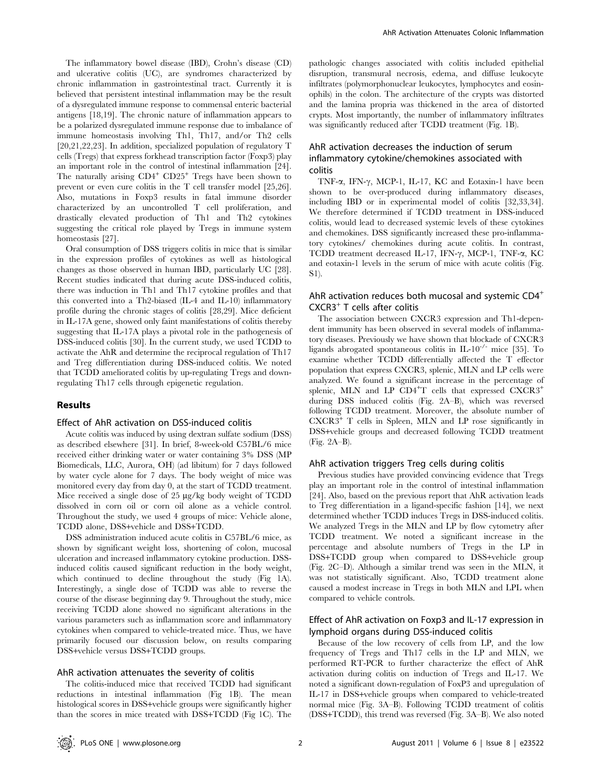The inflammatory bowel disease (IBD), Crohn's disease (CD) and ulcerative colitis (UC), are syndromes characterized by chronic inflammation in gastrointestinal tract. Currently it is believed that persistent intestinal inflammation may be the result of a dysregulated immune response to commensal enteric bacterial antigens [18,19]. The chronic nature of inflammation appears to be a polarized dysregulated immune response due to imbalance of immune homeostasis involving Th1, Th17, and/or Th2 cells [20,21,22,23]. In addition, specialized population of regulatory T cells (Tregs) that express forkhead transcription factor (Foxp3) play an important role in the control of intestinal inflammation [24]. The naturally arising  $CD4^+$   $CD25^+$  Tregs have been shown to prevent or even cure colitis in the T cell transfer model [25,26]. Also, mutations in Foxp3 results in fatal immune disorder characterized by an uncontrolled T cell proliferation, and drastically elevated production of Th1 and Th2 cytokines suggesting the critical role played by Tregs in immune system homeostasis [27].

Oral consumption of DSS triggers colitis in mice that is similar in the expression profiles of cytokines as well as histological changes as those observed in human IBD, particularly UC [28]. Recent studies indicated that during acute DSS-induced colitis, there was induction in Th1 and Th17 cytokine profiles and that this converted into a Th2-biased (IL-4 and IL-10) inflammatory profile during the chronic stages of colitis [28,29]. Mice deficient in IL-17A gene, showed only faint manifestations of colitis thereby suggesting that IL-17A plays a pivotal role in the pathogenesis of DSS-induced colitis [30]. In the current study, we used TCDD to activate the AhR and determine the reciprocal regulation of Th17 and Treg differentiation during DSS-induced colitis. We noted that TCDD ameliorated colitis by up-regulating Tregs and downregulating Th17 cells through epigenetic regulation.

#### Results

#### Effect of AhR activation on DSS-induced colitis

Acute colitis was induced by using dextran sulfate sodium (DSS) as described elsewhere [31]. In brief, 8-week-old C57BL/6 mice received either drinking water or water containing 3% DSS (MP Biomedicals, LLC, Aurora, OH) (ad libitum) for 7 days followed by water cycle alone for 7 days. The body weight of mice was monitored every day from day 0, at the start of TCDD treatment. Mice received a single dose of 25 µg/kg body weight of TCDD dissolved in corn oil or corn oil alone as a vehicle control. Throughout the study, we used 4 groups of mice: Vehicle alone, TCDD alone, DSS+vehicle and DSS+TCDD.

DSS administration induced acute colitis in C57BL/6 mice, as shown by significant weight loss, shortening of colon, mucosal ulceration and increased inflammatory cytokine production. DSSinduced colitis caused significant reduction in the body weight, which continued to decline throughout the study (Fig 1A). Interestingly, a single dose of TCDD was able to reverse the course of the disease beginning day 9. Throughout the study, mice receiving TCDD alone showed no significant alterations in the various parameters such as inflammation score and inflammatory cytokines when compared to vehicle-treated mice. Thus, we have primarily focused our discussion below, on results comparing DSS+vehicle versus DSS+TCDD groups.

#### AhR activation attenuates the severity of colitis

The colitis-induced mice that received TCDD had significant reductions in intestinal inflammation (Fig 1B). The mean histological scores in DSS+vehicle groups were significantly higher than the scores in mice treated with DSS+TCDD (Fig 1C). The

pathologic changes associated with colitis included epithelial disruption, transmural necrosis, edema, and diffuse leukocyte infiltrates (polymorphonuclear leukocytes, lymphocytes and eosinophils) in the colon. The architecture of the crypts was distorted and the lamina propria was thickened in the area of distorted crypts. Most importantly, the number of inflammatory infiltrates was significantly reduced after TCDD treatment (Fig. 1B).

## AhR activation decreases the induction of serum inflammatory cytokine/chemokines associated with colitis

TNF- $\alpha$ , IFN- $\gamma$ , MCP-1, IL-17, KC and Eotaxin-1 have been shown to be over-produced during inflammatory diseases, including IBD or in experimental model of colitis [32,33,34]. We therefore determined if TCDD treatment in DSS-induced colitis, would lead to decreased systemic levels of these cytokines and chemokines. DSS significantly increased these pro-inflammatory cytokines/ chemokines during acute colitis. In contrast, TCDD treatment decreased IL-17, IFN- $\gamma$ , MCP-1, TNF- $\alpha$ , KC and eotaxin-1 levels in the serum of mice with acute colitis (Fig. S1).

#### AhR activation reduces both mucosal and systemic CD4<sup>+</sup> CXCR3<sup>+</sup> T cells after colitis

The association between CXCR3 expression and Th1-dependent immunity has been observed in several models of inflammatory diseases. Previously we have shown that blockade of CXCR3 ligands abrogated spontaneous colitis in  $IL-10^{-/-}$  mice [35]. To examine whether TCDD differentially affected the T effector population that express CXCR3, splenic, MLN and LP cells were analyzed. We found a significant increase in the percentage of splenic, MLN and LP CD4<sup>+</sup>T cells that expressed CXCR3<sup>+</sup> during DSS induced colitis (Fig. 2A–B), which was reversed following TCDD treatment. Moreover, the absolute number of CXCR3<sup>+</sup> T cells in Spleen, MLN and LP rose significantly in DSS+vehicle groups and decreased following TCDD treatment (Fig. 2A–B).

#### AhR activation triggers Treg cells during colitis

Previous studies have provided convincing evidence that Tregs play an important role in the control of intestinal inflammation [24]. Also, based on the previous report that AhR activation leads to Treg differentiation in a ligand-specific fashion [14], we next determined whether TCDD induces Tregs in DSS-induced colitis. We analyzed Tregs in the MLN and LP by flow cytometry after TCDD treatment. We noted a significant increase in the percentage and absolute numbers of Tregs in the LP in DSS+TCDD group when compared to DSS+vehicle group (Fig. 2C–D). Although a similar trend was seen in the MLN, it was not statistically significant. Also, TCDD treatment alone caused a modest increase in Tregs in both MLN and LPL when compared to vehicle controls.

## Effect of AhR activation on Foxp3 and IL-17 expression in lymphoid organs during DSS-induced colitis

Because of the low recovery of cells from LP, and the low frequency of Tregs and Th17 cells in the LP and MLN, we performed RT-PCR to further characterize the effect of AhR activation during colitis on induction of Tregs and IL-17. We noted a significant down-regulation of FoxP3 and upregulation of IL-17 in DSS+vehicle groups when compared to vehicle-treated normal mice (Fig. 3A–B). Following TCDD treatment of colitis (DSS+TCDD), this trend was reversed (Fig. 3A–B). We also noted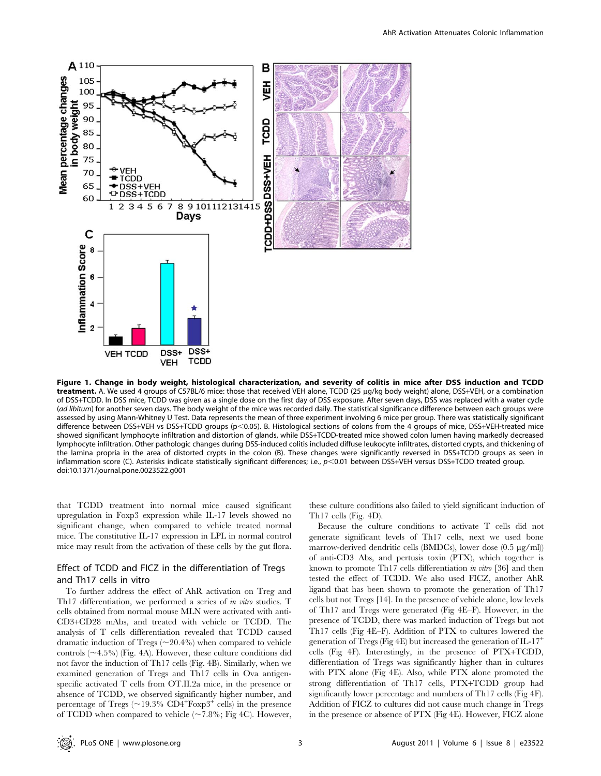

Figure 1. Change in body weight, histological characterization, and severity of colitis in mice after DSS induction and TCDD treatment. A. We used 4 groups of C57BL/6 mice: those that received VEH alone, TCDD (25 µg/kg body weight) alone, DSS+VEH, or a combination of DSS+TCDD. In DSS mice, TCDD was given as a single dose on the first day of DSS exposure. After seven days, DSS was replaced with a water cycle (ad libitum) for another seven days. The body weight of the mice was recorded daily. The statistical significance difference between each groups were assessed by using Mann-Whitney U Test. Data represents the mean of three experiment involving 6 mice per group. There was statistically significant difference between DSS+VEH vs DSS+TCDD groups (p<0.05). B. Histological sections of colons from the 4 groups of mice, DSS+VEH-treated mice showed significant lymphocyte infiltration and distortion of glands, while DSS+TCDD-treated mice showed colon lumen having markedly decreased lymphocyte infiltration. Other pathologic changes during DSS-induced colitis included diffuse leukocyte infiltrates, distorted crypts, and thickening of the lamina propria in the area of distorted crypts in the colon (B). These changes were significantly reversed in DSS+TCDD groups as seen in inflammation score (C). Asterisks indicate statistically significant differences; i.e.,  $p<$  0.01 between DSS+VEH versus DSS+TCDD treated group. doi:10.1371/journal.pone.0023522.g001

that TCDD treatment into normal mice caused significant upregulation in Foxp3 expression while IL-17 levels showed no significant change, when compared to vehicle treated normal mice. The constitutive IL-17 expression in LPL in normal control mice may result from the activation of these cells by the gut flora.

## Effect of TCDD and FICZ in the differentiation of Tregs and Th17 cells in vitro

To further address the effect of AhR activation on Treg and Th17 differentiation, we performed a series of *in vitro* studies. T cells obtained from normal mouse MLN were activated with anti-CD3+CD28 mAbs, and treated with vehicle or TCDD. The analysis of T cells differentiation revealed that TCDD caused dramatic induction of Tregs  $(\sim 20.4\%)$  when compared to vehicle controls  $(\sim 4.5\%)$  (Fig. 4A). However, these culture conditions did not favor the induction of Th17 cells (Fig. 4B). Similarly, when we examined generation of Tregs and Th17 cells in Ova antigenspecific activated T cells from OT.II.2a mice, in the presence or absence of TCDD, we observed significantly higher number, and percentage of Tregs (~19.3%  $CD4+F\exp 3+$  cells) in the presence of TCDD when compared to vehicle ( $\sim$ 7.8%; Fig 4C). However,

these culture conditions also failed to yield significant induction of Th17 cells (Fig. 4D).

Because the culture conditions to activate T cells did not generate significant levels of Th17 cells, next we used bone marrow-derived dendritic cells (BMDCs), lower dose  $(0.5 \mu g/ml)$ ) of anti-CD3 Abs, and pertusis toxin (PTX), which together is known to promote Th17 cells differentiation in vitro [36] and then tested the effect of TCDD. We also used FICZ, another AhR ligand that has been shown to promote the generation of Th17 cells but not Tregs [14]. In the presence of vehicle alone, low levels of Th17 and Tregs were generated (Fig 4E–F). However, in the presence of TCDD, there was marked induction of Tregs but not Th17 cells (Fig 4E–F). Addition of PTX to cultures lowered the generation of Tregs (Fig 4E) but increased the generation of IL-17<sup>+</sup> cells (Fig 4F). Interestingly, in the presence of PTX+TCDD, differentiation of Tregs was significantly higher than in cultures with PTX alone (Fig 4E). Also, while PTX alone promoted the strong differentiation of Th17 cells, PTX+TCDD group had significantly lower percentage and numbers of Th17 cells (Fig 4F). Addition of FICZ to cultures did not cause much change in Tregs in the presence or absence of PTX (Fig 4E). However, FICZ alone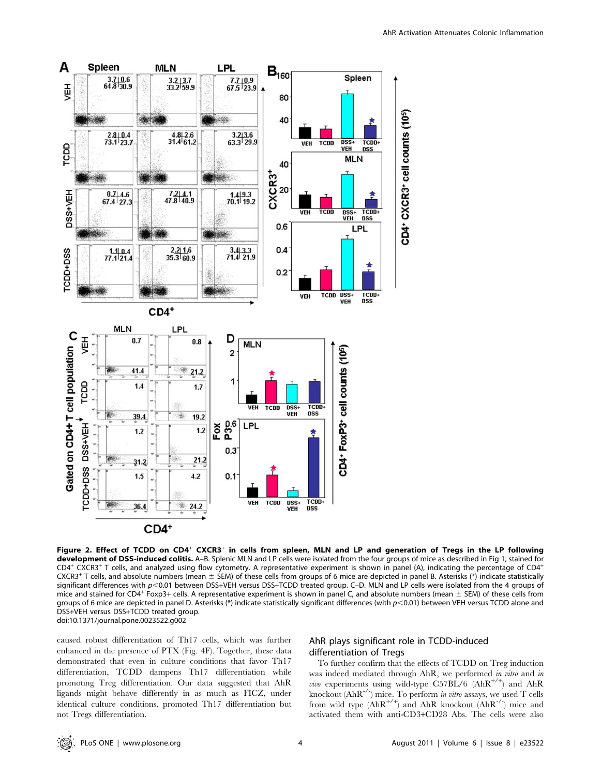

Figure 2. Effect of TCDD on  $CD4^+$  CXCR3<sup>+</sup> in cells from spleen, MLN and LP and generation of Tregs in the LP following development of DSS-induced colitis. A-B. Splenic MLN and LP cells were isolated from the four groups of mice as described in Fig 1, stained for  $CD4^+$  CXCR3<sup>+</sup> T cells, and analyzed using flow cytometry. A representative experiment is shown in panel (A), indicating the percentage of CD4<sup>+</sup> CXCR3<sup>+</sup> T cells, and absolute numbers (mean  $\pm$  SEM) of these cells from groups of 6 mice are depicted in panel B. Asterisks (\*) indicate statistically significant differences with  $p$ <0.01 between DSS+VEH versus DSS+TCDD treated group. C–D. MLN and LP cells were isolated from the 4 groups of mice and stained for CD4<sup>+</sup> Foxp3+ cells. A representative experiment is shown in panel C, and absolute numbers (mean  $\pm$  SEM) of these cells from groups of 6 mice are depicted in panel D. Asterisks (\*) indicate statistically significant differences (with  $p$ <0.01) between VEH versus TCDD alone and DSS+VEH versus DSS+TCDD treated group. doi:10.1371/journal.pone.0023522.g002

caused robust differentiation of Th17 cells, which was further enhanced in the presence of PTX (Fig. 4F). Together, these data demonstrated that even in culture conditions that favor Th17 differentiation, TCDD dampens Th17 differentiation while promoting Treg differentiation. Our data suggested that AhR ligands might behave differently in as much as FICZ, under identical culture conditions, promoted Th17 differentiation but not Tregs differentiation.

## AhR plays significant role in TCDD-induced differentiation of Tregs

To further confirm that the effects of TCDD on Treg induction was indeed mediated through AhR, we performed in vitro and in vivo experiments using wild-type  $C57BL/6$  (AhR<sup>+/+</sup>) and AhR knockout  $(AhR^{-1})$  mice. To perform *in vitro* assays, we used T cells from wild type  $(AhR^{+/})$  and AhR knockout  $(AhR^{-/-})$  mice and activated them with anti-CD3+CD28 Abs. The cells were also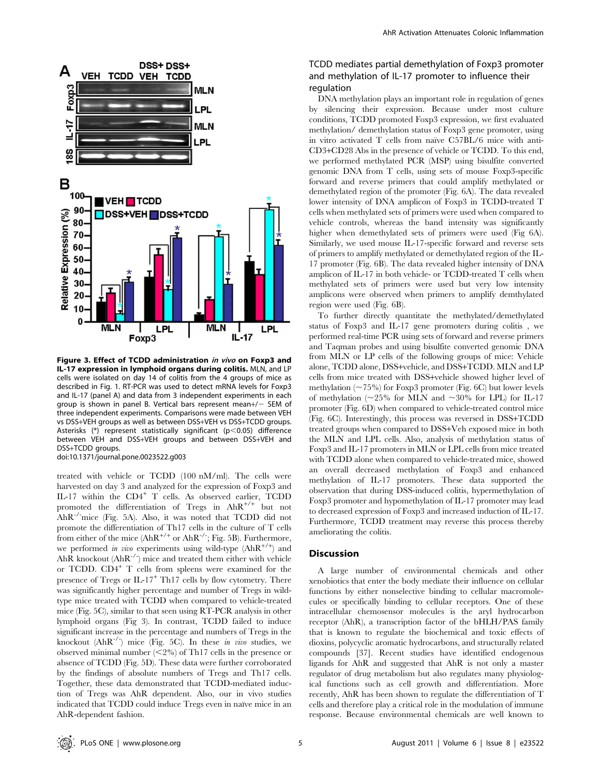

Figure 3. Effect of TCDD administration in vivo on Foxp3 and IL-17 expression in lymphoid organs during colitis. MLN, and LP cells were isolated on day 14 of colitis from the 4 groups of mice as described in Fig. 1. RT-PCR was used to detect mRNA levels for Foxp3 and IL-17 (panel A) and data from 3 independent experiments in each group is shown in panel B. Vertical bars represent mean+ $/$  SEM of three independent experiments. Comparisons were made between VEH vs DSS+VEH groups as well as between DSS+VEH vs DSS+TCDD groups. Asterisks  $(*)$  represent statistically significant ( $p$ <0.05) difference between VEH and DSS+VEH groups and between DSS+VEH and DSS+TCDD groups. doi:10.1371/journal.pone.0023522.g003

treated with vehicle or TCDD (100 nM/ml). The cells were harvested on day 3 and analyzed for the expression of Foxp3 and IL-17 within the CD4<sup>+</sup> T cells. As observed earlier, TCDD promoted the differentiation of Tregs in  $AhR^{+/+}$  but not AhR-/-mice (Fig. 5A). Also, it was noted that TCDD did not promote the differentiation of Th17 cells in the culture of T cells from either of the mice  $(AhR^{+/+}$  or  $AhR^{-/-}$ ; Fig. 5B). Furthermore, we performed in vivo experiments using wild-type  $(AhR^{+/-})$  and AhR knockout  $(AhR^{-1})$  mice and treated them either with vehicle or TCDD. CD4<sup>+</sup> T cells from spleens were examined for the presence of Tregs or IL-17<sup>+</sup> Th17 cells by flow cytometry. There was significantly higher percentage and number of Tregs in wildtype mice treated with TCDD when compared to vehicle-treated mice (Fig. 5C), similar to that seen using RT-PCR analysis in other lymphoid organs (Fig 3). In contrast, TCDD failed to induce significant increase in the percentage and numbers of Tregs in the knockout  $(AhR^{-1})$  mice (Fig. 5C). In these *in vivo* studies, we observed minimal number  $\left( \langle 2\% \rangle \right)$  of Th17 cells in the presence or absence of TCDD (Fig. 5D). These data were further corroborated by the findings of absolute numbers of Tregs and Th17 cells. Together, these data demonstrated that TCDD-mediated induction of Tregs was AhR dependent. Also, our in vivo studies indicated that TCDD could induce Tregs even in naïve mice in an AhR-dependent fashion.

## TCDD mediates partial demethylation of Foxp3 promoter and methylation of IL-17 promoter to influence their regulation

DNA methylation plays an important role in regulation of genes by silencing their expression. Because under most culture conditions, TCDD promoted Foxp3 expression, we first evaluated methylation/ demethylation status of Foxp3 gene promoter, using in vitro activated T cells from naïve C57BL/6 mice with anti-CD3+CD28 Abs in the presence of vehicle or TCDD. To this end, we performed methylated PCR (MSP) using bisulfite converted genomic DNA from T cells, using sets of mouse Foxp3-specific forward and reverse primers that could amplify methylated or demethylated region of the promoter (Fig. 6A). The data revealed lower intensity of DNA amplicon of Foxp3 in TCDD-treated T cells when methylated sets of primers were used when compared to vehicle controls, whereas the band intensity was significantly higher when demethylated sets of primers were used (Fig 6A). Similarly, we used mouse IL-17-specific forward and reverse sets of primers to amplify methylated or demethylated region of the IL-17 promoter (Fig. 6B). The data revealed higher intensity of DNA amplicon of IL-17 in both vehicle- or TCDD-treated T cells when methylated sets of primers were used but very low intensity amplicons were observed when primers to amplify demthylated region were used (Fig. 6B).

To further directly quantitate the methylated/demethylated status of Foxp3 and IL-17 gene promoters during colitis , we performed real-time PCR using sets of forward and reverse primers and Taqman probes and using bisulfite converted genomic DNA from MLN or LP cells of the following groups of mice: Vehicle alone, TCDD alone, DSS+vehicle, and DSS+TCDD. MLN and LP cells from mice treated with DSS+vehicle showed higher level of methylation ( $\sim$ 75%) for Foxp3 promoter (Fig. 6C) but lower levels of methylation ( $\sim$ 25% for MLN and  $\sim$ 30% for LPL) for IL-17 promoter (Fig. 6D) when compared to vehicle-treated control mice (Fig. 6C). Interestingly, this process was reversed in DSS+TCDD treated groups when compared to DSS+Veh exposed mice in both the MLN and LPL cells. Also, analysis of methylation status of Foxp3 and IL-17 promoters in MLN or LPL cells from mice treated with TCDD alone when compared to vehicle-treated mice, showed an overall decreased methylation of Foxp3 and enhanced methylation of IL-17 promoters. These data supported the observation that during DSS-induced colitis, hypermethylation of Foxp3 promoter and hypomethylation of IL-17 promoter may lead to decreased expression of Foxp3 and increased induction of IL-17. Furthermore, TCDD treatment may reverse this process thereby ameliorating the colitis.

#### **Discussion**

A large number of environmental chemicals and other xenobiotics that enter the body mediate their influence on cellular functions by either nonselective binding to cellular macromolecules or specifically binding to cellular receptors. One of these intracellular chemosensor molecules is the aryl hydrocarbon receptor (AhR), a transcription factor of the bHLH/PAS family that is known to regulate the biochemical and toxic effects of dioxins, polycyclic aromatic hydrocarbons, and structurally related compounds [37]. Recent studies have identified endogenous ligands for AhR and suggested that AhR is not only a master regulator of drug metabolism but also regulates many physiological functions such as cell growth and differentiation. More recently, AhR has been shown to regulate the differentiation of T cells and therefore play a critical role in the modulation of immune response. Because environmental chemicals are well known to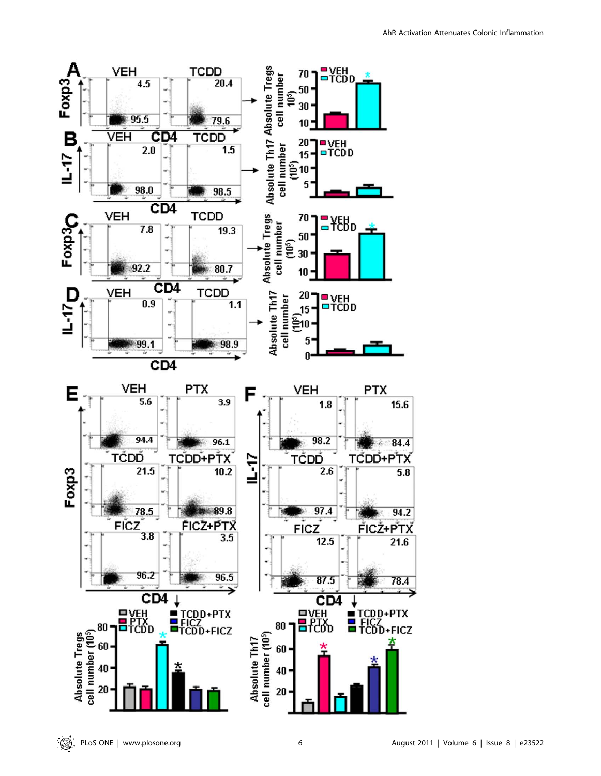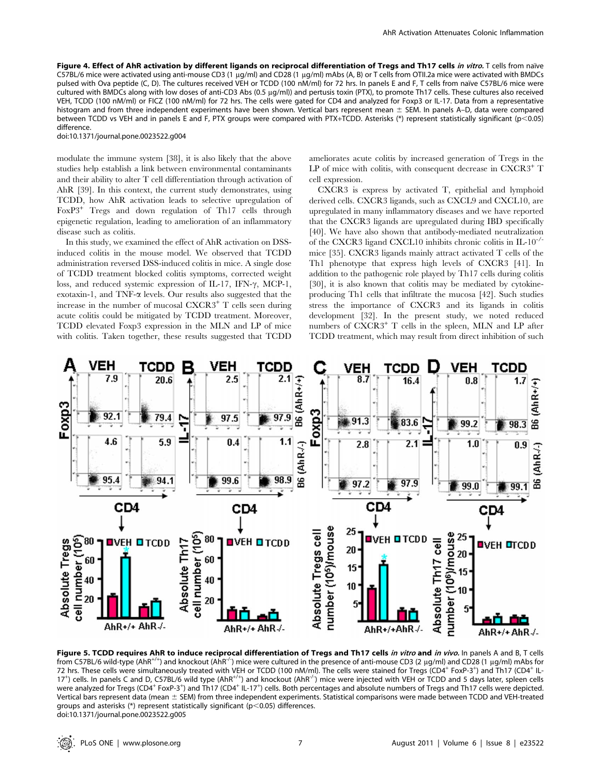Figure 4. Effect of AhR activation by different ligands on reciprocal differentiation of Tregs and Th17 cells in vitro. T cells from naïve C57BL/6 mice were activated using anti-mouse CD3 (1 µg/ml) and CD28 (1 µg/ml) mAbs (A, B) or T cells from OTII.2a mice were activated with BMDCs pulsed with Ova peptide (C, D). The cultures received VEH or TCDD (100 nM/ml) for 72 hrs. In panels E and F, T cells from naïve C57BL/6 mice were cultured with BMDCs along with low doses of anti-CD3 Abs (0.5 µg/ml)) and pertusis toxin (PTX), to promote Th17 cells. These cultures also received VEH, TCDD (100 nM/ml) or FICZ (100 nM/ml) for 72 hrs. The cells were gated for CD4 and analyzed for Foxp3 or IL-17. Data from a representative histogram and from three independent experiments have been shown. Vertical bars represent mean  $\pm$  SEM. In panels A–D, data were compared between TCDD vs VEH and in panels E and F, PTX groups were compared with PTX+TCDD. Asterisks (\*) represent statistically significant (p<0.05) difference.

doi:10.1371/journal.pone.0023522.g004

modulate the immune system [38], it is also likely that the above studies help establish a link between environmental contaminants and their ability to alter T cell differentiation through activation of AhR [39]. In this context, the current study demonstrates, using TCDD, how AhR activation leads to selective upregulation of FoxP3<sup>+</sup> Tregs and down regulation of Th17 cells through epigenetic regulation, leading to amelioration of an inflammatory disease such as colitis.

In this study, we examined the effect of AhR activation on DSSinduced colitis in the mouse model. We observed that TCDD administration reversed DSS-induced colitis in mice. A single dose of TCDD treatment blocked colitis symptoms, corrected weight loss, and reduced systemic expression of IL-17, IFN- $\gamma$ , MCP-1, exotaxin-1, and TNF-a levels. Our results also suggested that the increase in the number of mucosal CXCR3<sup>+</sup> T cells seen during acute colitis could be mitigated by TCDD treatment. Moreover, TCDD elevated Foxp3 expression in the MLN and LP of mice with colitis. Taken together, these results suggested that TCDD

ameliorates acute colitis by increased generation of Tregs in the LP of mice with colitis, with consequent decrease in  $C \text{XCR}3<sup>+</sup>$  T cell expression.

CXCR3 is express by activated T, epithelial and lymphoid derived cells. CXCR3 ligands, such as CXCL9 and CXCL10, are upregulated in many inflammatory diseases and we have reported that the CXCR3 ligands are upregulated during IBD specifically [40]. We have also shown that antibody-mediated neutralization of the CXCR3 ligand CXCL10 inhibits chronic colitis in IL-10-/ mice [35]. CXCR3 ligands mainly attract activated T cells of the Th1 phenotype that express high levels of CXCR3 [41]. In addition to the pathogenic role played by Th17 cells during colitis [30], it is also known that colitis may be mediated by cytokineproducing Th1 cells that infiltrate the mucosa [42]. Such studies stress the importance of CXCR3 and its ligands in colitis development [32]. In the present study, we noted reduced numbers of CXCR3<sup>+</sup> T cells in the spleen, MLN and LP after TCDD treatment, which may result from direct inhibition of such



Figure 5. TCDD requires AhR to induce reciprocal differentiation of Tregs and Th17 cells in vitro and in vivo. In panels A and B, T cells from C57BL/6 wild-type (AhR<sup>+/+</sup>) and knockout (AhR<sup>-/-</sup>) mice were cultured in the presence of anti-mouse CD3 (2 µg/ml) and CD28 (1 µg/ml) mAbs for 72 hrs. These cells were simultaneously treated with VEH or TCDD (100 nM/ml). The cells were stained for Tregs (CD4<sup>+</sup> FoxP-3<sup>+</sup> ) and Th17 (CD4<sup>+</sup> IL-17<sup>+</sup>) cells. In panels C and D, C57BL/6 wild type (AhR<sup>+/+</sup>) and knockout (AhR<sup>-/-</sup>) mice were injected with VEH or TCDD and 5 days later, spleen cells were analyzed for Tregs (CD4+ FoxP-3+) and Th17 (CD4+ IL-17+) cells. Both percentages and absolute numbers of Tregs and Th17 cells were depicted. Vertical bars represent data (mean  $\pm$  SEM) from three independent experiments. Statistical comparisons were made between TCDD and VEH-treated groups and asterisks (\*) represent statistically significant ( $p$ <0.05) differences. doi:10.1371/journal.pone.0023522.g005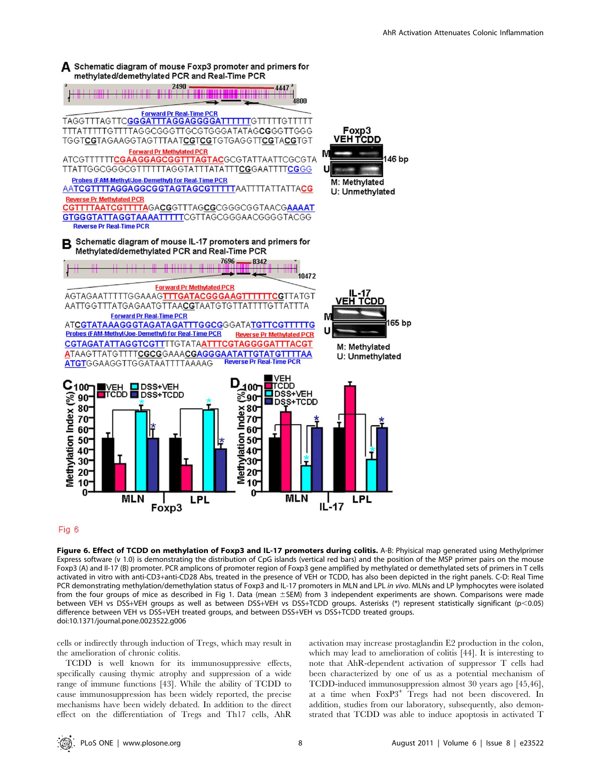$\Delta$  Schematic diagram of mouse Foxp3 promoter and primers for methylated/demethylated PCR and Real-Time PCR



## Fig 6

Figure 6. Effect of TCDD on methylation of Foxp3 and IL-17 promoters during colitis. A-B: Phyisical map generated using Methylprimer Express software (v 1.0) is demonstrating the distribution of CpG islands (vertical red bars) and the position of the MSP primer pairs on the mouse Foxp3 (A) and Il-17 (B) promoter. PCR amplicons of promoter region of Foxp3 gene amplified by methylated or demethylated sets of primers in T cells activated in vitro with anti-CD3+anti-CD28 Abs, treated in the presence of VEH or TCDD, has also been depicted in the right panels. C-D: Real Time PCR demonstrating methylation/demethylation status of Foxp3 and IL-17 promoters in MLN and LPL in vivo. MLNs and LP lymphocytes were isolated from the four groups of mice as described in Fig 1. Data (mean ±SEM) from 3 independent experiments are shown. Comparisons were made between VEH vs DSS+VEH groups as well as between DSS+VEH vs DSS+TCDD groups. Asterisks (\*) represent statistically significant (p<0.05) difference between VEH vs DSS+VEH treated groups, and between DSS+VEH vs DSS+TCDD treated groups. doi:10.1371/journal.pone.0023522.g006

cells or indirectly through induction of Tregs, which may result in the amelioration of chronic colitis.

TCDD is well known for its immunosuppressive effects, specifically causing thymic atrophy and suppression of a wide range of immune functions [43]. While the ability of TCDD to cause immunosuppression has been widely reported, the precise mechanisms have been widely debated. In addition to the direct effect on the differentiation of Tregs and Th17 cells, AhR activation may increase prostaglandin E2 production in the colon, which may lead to amelioration of colitis [44]. It is interesting to note that AhR-dependent activation of suppressor T cells had been characterized by one of us as a potential mechanism of TCDD-induced immunosuppression almost 30 years ago [45,46], at a time when FoxP3<sup>+</sup> Tregs had not been discovered. In addition, studies from our laboratory, subsequently, also demonstrated that TCDD was able to induce apoptosis in activated T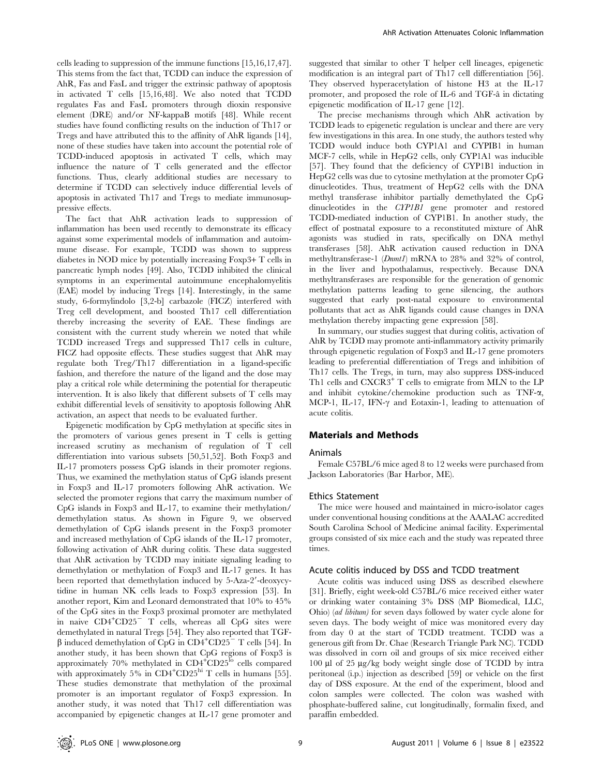cells leading to suppression of the immune functions [15,16,17,47]. This stems from the fact that, TCDD can induce the expression of AhR, Fas and FasL and trigger the extrinsic pathway of apoptosis in activated T cells [15,16,48]. We also noted that TCDD regulates Fas and FasL promoters through dioxin responsive element (DRE) and/or NF-kappaB motifs [48]. While recent studies have found conflicting results on the induction of Th17 or Tregs and have attributed this to the affinity of AhR ligands [14], none of these studies have taken into account the potential role of TCDD-induced apoptosis in activated T cells, which may influence the nature of T cells generated and the effector functions. Thus, clearly additional studies are necessary to determine if TCDD can selectively induce differential levels of apoptosis in activated Th17 and Tregs to mediate immunosuppressive effects.

The fact that AhR activation leads to suppression of inflammation has been used recently to demonstrate its efficacy against some experimental models of inflammation and autoimmune disease. For example, TCDD was shown to suppress diabetes in NOD mice by potentially increasing Foxp3+ T cells in pancreatic lymph nodes [49]. Also, TCDD inhibited the clinical symptoms in an experimental autoimmune encephalomyelitis (EAE) model by inducing Tregs [14]. Interestingly, in the same study, 6-formylindolo [3,2-b] carbazole (FICZ) interfered with Treg cell development, and boosted Th17 cell differentiation thereby increasing the severity of EAE. These findings are consistent with the current study wherein we noted that while TCDD increased Tregs and suppressed Th17 cells in culture, FICZ had opposite effects. These studies suggest that AhR may regulate both Treg/Th17 differentiation in a ligand-specific fashion, and therefore the nature of the ligand and the dose may play a critical role while determining the potential for therapeutic intervention. It is also likely that different subsets of T cells may exhibit differential levels of sensitivity to apoptosis following AhR activation, an aspect that needs to be evaluated further.

Epigenetic modification by CpG methylation at specific sites in the promoters of various genes present in T cells is getting increased scrutiny as mechanism of regulation of T cell differentiation into various subsets [50,51,52]. Both Foxp3 and IL-17 promoters possess CpG islands in their promoter regions. Thus, we examined the methylation status of CpG islands present in Foxp3 and IL-17 promoters following AhR activation. We selected the promoter regions that carry the maximum number of CpG islands in Foxp3 and IL-17, to examine their methylation/ demethylation status. As shown in Figure 9, we observed demethylation of CpG islands present in the Foxp3 promoter and increased methylation of CpG islands of the IL-17 promoter, following activation of AhR during colitis. These data suggested that AhR activation by TCDD may initiate signaling leading to demethylation or methylation of Foxp3 and IL-17 genes. It has been reported that demethylation induced by 5-Aza-2'-deoxycytidine in human NK cells leads to Foxp3 expression [53]. In another report, Kim and Leonard demonstrated that 10% to 45% of the CpG sites in the Foxp3 proximal promoter are methylated in naive CD4<sup>+</sup>CD25<sup>-</sup> T cells, whereas all CpG sites were demethylated in natural Tregs [54]. They also reported that TGF- $\beta$  induced demethylation of CpG in CD4<sup>+</sup>CD25<sup>-</sup> T cells [54]. In another study, it has been shown that CpG regions of Foxp3 is approximately 70% methylated in  $CD4^{\text{+}}CD25^{\text{lo}}$  cells compared with approximately 5% in CD4<sup>+</sup>CD25<sup>hi</sup> T cells in humans [55]. These studies demonstrate that methylation of the proximal promoter is an important regulator of Foxp3 expression. In another study, it was noted that Th17 cell differentiation was accompanied by epigenetic changes at IL-17 gene promoter and suggested that similar to other T helper cell lineages, epigenetic modification is an integral part of Th17 cell differentiation [56]. They observed hyperacetylation of histone H3 at the IL-17 promoter, and proposed the role of IL-6 and TGF- $\hat{a}$  in dictating epigenetic modification of IL-17 gene [12].

The precise mechanisms through which AhR activation by TCDD leads to epigenetic regulation is unclear and there are very few investigations in this area. In one study, the authors tested why TCDD would induce both CYP1A1 and CYPIB1 in human MCF-7 cells, while in HepG2 cells, only CYP1A1 was inducible [57]. They found that the deficiency of CYP1B1 induction in HepG2 cells was due to cytosine methylation at the promoter CpG dinucleotides. Thus, treatment of HepG2 cells with the DNA methyl transferase inhibitor partially demethylated the CpG dinucleotides in the CYP1B1 gene promoter and restored TCDD-mediated induction of CYP1B1. In another study, the effect of postnatal exposure to a reconstituted mixture of AhR agonists was studied in rats, specifically on DNA methyl transferases [58]. AhR activation caused reduction in DNA methyltransferase-1 (Dnmt1) mRNA to 28% and 32% of control, in the liver and hypothalamus, respectively. Because DNA methyltransferases are responsible for the generation of genomic methylation patterns leading to gene silencing, the authors suggested that early post-natal exposure to environmental pollutants that act as AhR ligands could cause changes in DNA methylation thereby impacting gene expression [58].

In summary, our studies suggest that during colitis, activation of AhR by TCDD may promote anti-inflammatory activity primarily through epigenetic regulation of Foxp3 and IL-17 gene promoters leading to preferential differentiation of Tregs and inhibition of Th17 cells. The Tregs, in turn, may also suppress DSS-induced Th1 cells and  $\text{CXCR3}^+$  T cells to emigrate from MLN to the LP and inhibit cytokine/chemokine production such as TNF-a, MCP-1, IL-17, IFN- $\gamma$  and Eotaxin-1, leading to attenuation of acute colitis.

#### Materials and Methods

#### Animals

Female C57BL/6 mice aged 8 to 12 weeks were purchased from Jackson Laboratories (Bar Harbor, ME).

#### Ethics Statement

The mice were housed and maintained in micro-isolator cages under conventional housing conditions at the AAALAC accredited South Carolina School of Medicine animal facility. Experimental groups consisted of six mice each and the study was repeated three times.

#### Acute colitis induced by DSS and TCDD treatment

Acute colitis was induced using DSS as described elsewhere [31]. Briefly, eight week-old C57BL/6 mice received either water or drinking water containing 3% DSS (MP Biomedical, LLC, Ohio) (ad libitum) for seven days followed by water cycle alone for seven days. The body weight of mice was monitored every day from day 0 at the start of TCDD treatment. TCDD was a generous gift from Dr. Chae (Research Triangle Park NC). TCDD was dissolved in corn oil and groups of six mice received either 100 μl of 25 μg/kg body weight single dose of TCDD by intra peritoneal (i.p.) injection as described [59] or vehicle on the first day of DSS exposure. At the end of the experiment, blood and colon samples were collected. The colon was washed with phosphate-buffered saline, cut longitudinally, formalin fixed, and paraffin embedded.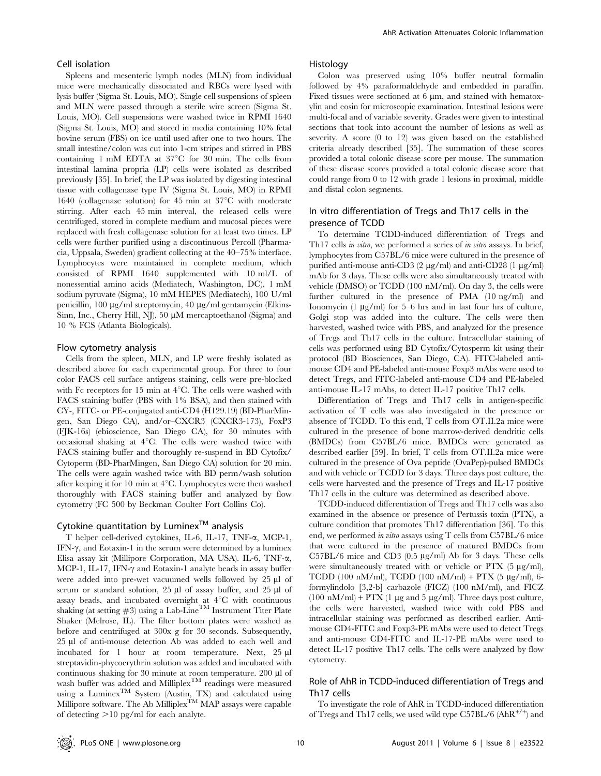#### Cell isolation

Spleens and mesenteric lymph nodes (MLN) from individual mice were mechanically dissociated and RBCs were lysed with lysis buffer (Sigma St. Louis, MO). Single cell suspensions of spleen and MLN were passed through a sterile wire screen (Sigma St. Louis, MO). Cell suspensions were washed twice in RPMI 1640 (Sigma St. Louis, MO) and stored in media containing 10% fetal bovine serum (FBS) on ice until used after one to two hours. The small intestine/colon was cut into 1-cm stripes and stirred in PBS containing 1 mM EDTA at  $37^{\circ}$ C for 30 min. The cells from intestinal lamina propria (LP) cells were isolated as described previously [35]. In brief, the LP was isolated by digesting intestinal tissue with collagenase type IV (Sigma St. Louis, MO) in RPMI 1640 (collagenase solution) for 45 min at  $37^{\circ}$ C with moderate stirring. After each 45 min interval, the released cells were centrifuged, stored in complete medium and mucosal pieces were replaced with fresh collagenase solution for at least two times. LP cells were further purified using a discontinuous Percoll (Pharmacia, Uppsala, Sweden) gradient collecting at the 40–75% interface. Lymphocytes were maintained in complete medium, which consisted of RPMI 1640 supplemented with 10 ml/L of nonessential amino acids (Mediatech, Washington, DC), 1 mM sodium pyruvate (Sigma), 10 mM HEPES (Mediatech), 100 U/ml penicillin, 100 µg/ml streptomycin, 40 µg/ml gentamycin (Elkins-Sinn, Inc., Cherry Hill, NJ), 50 µM mercaptoethanol (Sigma) and 10 % FCS (Atlanta Biologicals).

#### Flow cytometry analysis

Cells from the spleen, MLN, and LP were freshly isolated as described above for each experimental group. For three to four color FACS cell surface antigens staining, cells were pre-blocked with Fc receptors for 15 min at  $4^{\circ}$ C. The cells were washed with FACS staining buffer (PBS with 1% BSA), and then stained with CY-, FITC- or PE-conjugated anti-CD4 (H129.19) (BD-PharMingen, San Diego CA), and/or–CXCR3 (CXCR3-173), FoxP3 (FJK-16s) (ebioscience, San Diego CA), for 30 minutes with occasional shaking at  $4^{\circ}$ C. The cells were washed twice with FACS staining buffer and thoroughly re-suspend in BD Cytofix/ Cytoperm (BD-PharMingen, San Diego CA) solution for 20 min. The cells were again washed twice with BD perm/wash solution after keeping it for 10 min at  $4^{\circ}$ C. Lymphocytes were then washed thoroughly with FACS staining buffer and analyzed by flow cytometry (FC 500 by Beckman Coulter Fort Collins Co).

## Cytokine quantitation by Luminex<sup>TM</sup> analysis

T helper cell-derived cytokines, IL-6, IL-17, TNF-a, MCP-1, IFN- $\gamma$ , and Eotaxin-1 in the serum were determined by a luminex Elisa assay kit (Millipore Corporation, MA USA). IL-6, TNF-a, MCP-1, IL-17, IFN- $\gamma$  and Eotaxin-1 analyte beads in assay buffer were added into pre-wet vacuumed wells followed by 25 µl of serum or standard solution,  $25 \mu l$  of assay buffer, and  $25 \mu l$  of assay beads, and incubated overnight at  $4^{\circ}C$  with continuous shaking (at setting  $#3$ ) using a Lab-Line<sup>TM</sup> Instrument Titer Plate Shaker (Melrose, IL). The filter bottom plates were washed as before and centrifuged at 300x g for 30 seconds. Subsequently, 25 ml of anti-mouse detection Ab was added to each well and incubated for 1 hour at room temperature. Next,  $25 \mu l$ streptavidin-phycoerythrin solution was added and incubated with continuous shaking for 30 minute at room temperature. 200  $\mu$ l of wash buffer was added and Milliplex<sup>TM</sup> readings were measured using a Luminex<sup>TM</sup> System (Austin, TX) and calculated using Millipore software. The Ab Milliplex<sup>TM</sup> MAP assays were capable of detecting  $>10$  pg/ml for each analyte.

#### Histology

Colon was preserved using 10% buffer neutral formalin followed by 4% paraformaldehyde and embedded in paraffin. Fixed tissues were sectioned at 6 µm, and stained with hematoxylin and eosin for microscopic examination. Intestinal lesions were multi-focal and of variable severity. Grades were given to intestinal sections that took into account the number of lesions as well as severity. A score (0 to 12) was given based on the established criteria already described [35]. The summation of these scores provided a total colonic disease score per mouse. The summation of these disease scores provided a total colonic disease score that could range from 0 to 12 with grade 1 lesions in proximal, middle and distal colon segments.

## In vitro differentiation of Tregs and Th17 cells in the presence of TCDD

To determine TCDD-induced differentiation of Tregs and Th17 cells in vitro, we performed a series of in vitro assays. In brief, lymphocytes from C57BL/6 mice were cultured in the presence of purified anti-mouse anti-CD3 (2  $\mu$ g/ml) and anti-CD28 (1  $\mu$ g/ml) mAb for 3 days. These cells were also simultaneously treated with vehicle (DMSO) or TCDD (100 nM/ml). On day 3, the cells were further cultured in the presence of PMA (10 ng/ml) and Ionomycin (1  $\mu$ g/ml) for 5–6 hrs and in last four hrs of culture, Golgi stop was added into the culture. The cells were then harvested, washed twice with PBS, and analyzed for the presence of Tregs and Th17 cells in the culture. Intracellular staining of cells was performed using BD Cytofix/Cytosperm kit using their protocol (BD Biosciences, San Diego, CA). FITC-labeled antimouse CD4 and PE-labeled anti-mouse Foxp3 mAbs were used to detect Tregs, and FITC-labeled anti-mouse CD4 and PE-labeled anti-mouse IL-17 mAbs, to detect IL-17 positive Th17 cells.

Differentiation of Tregs and Th17 cells in antigen-specific activation of T cells was also investigated in the presence or absence of TCDD. To this end, T cells from OT.II.2a mice were cultured in the presence of bone marrow-derived dendritic cells (BMDCs) from C57BL/6 mice. BMDCs were generated as described earlier [59]. In brief, T cells from OT.II.2a mice were cultured in the presence of Ova peptide (OvaPep)-pulsed BMDCs and with vehicle or TCDD for 3 days. Three days post culture, the cells were harvested and the presence of Tregs and IL-17 positive Th17 cells in the culture was determined as described above.

TCDD-induced differentiation of Tregs and Th17 cells was also examined in the absence or presence of Pertussis toxin (PTX), a culture condition that promotes Th17 differentiation [36]. To this end, we performed in vitro assays using T cells from C57BL/6 mice that were cultured in the presence of matured BMDCs from  $C57BL/6$  mice and  $CD3$  (0.5  $\mu$ g/ml) Ab for 3 days. These cells were simultaneously treated with or vehicle or  $PTX$  (5  $\mu$ g/ml), TCDD (100 nM/ml), TCDD (100 nM/ml) +  $PTX$  (5 µg/ml), 6formylindolo [3,2-b] carbazole (FICZ) (100 nM/ml), and FICZ  $(100 \text{ nM/ml}) + PTX$  (1 µg and 5 µg/ml). Three days post culture, the cells were harvested, washed twice with cold PBS and intracellular staining was performed as described earlier. Antimouse CD4-FITC and Foxp3-PE mAbs were used to detect Tregs and anti-mouse CD4-FITC and IL-17-PE mAbs were used to detect IL-17 positive Th17 cells. The cells were analyzed by flow cytometry.

#### Role of AhR in TCDD-induced differentiation of Tregs and Th17 cells

To investigate the role of AhR in TCDD-induced differentiation of Tregs and Th17 cells, we used wild type C57BL/6 (AhR<sup>+/+</sup>) and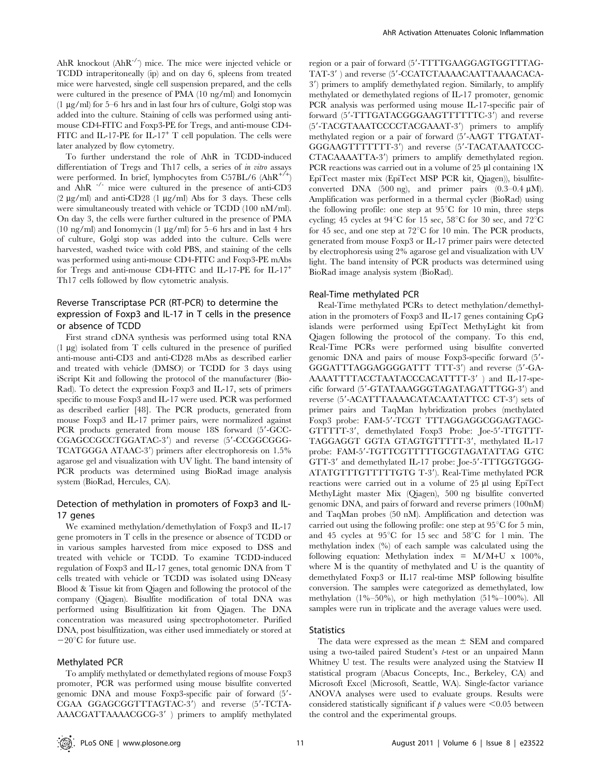AhR knockout  $(AhR^{-1})$  mice. The mice were injected vehicle or TCDD intraperitoneally (ip) and on day 6, spleens from treated mice were harvested, single cell suspension prepared, and the cells were cultured in the presence of PMA (10 ng/ml) and Ionomycin (1  $\mu$ g/ml) for 5–6 hrs and in last four hrs of culture, Golgi stop was added into the culture. Staining of cells was performed using antimouse CD4-FITC and Foxp3-PE for Tregs, and anti-mouse CD4- FITC and IL-17-PE for IL-17<sup>+</sup> T cell population. The cells were later analyzed by flow cytometry.

To further understand the role of AhR in TCDD-induced differentiation of Tregs and Th17 cells, a series of in vitro assays were performed. In brief, lymphocytes from C57BL/6 (AhR<sup>+/+</sup>)</sup> and AhR -/- mice were cultured in the presence of anti-CD3  $(2 \mu g/ml)$  and anti-CD28  $(1 \mu g/ml)$  Abs for 3 days. These cells were simultaneously treated with vehicle or TCDD (100 nM/ml). On day 3, the cells were further cultured in the presence of PMA (10 ng/ml) and Ionomycin (1  $\mu$ g/ml) for 5–6 hrs and in last 4 hrs of culture, Golgi stop was added into the culture. Cells were harvested, washed twice with cold PBS, and staining of the cells was performed using anti-mouse CD4-FITC and Foxp3-PE mAbs for Tregs and anti-mouse CD4-FITC and IL-17-PE for IL-17<sup>+</sup> Th17 cells followed by flow cytometric analysis.

## Reverse Transcriptase PCR (RT-PCR) to determine the expression of Foxp3 and IL-17 in T cells in the presence or absence of TCDD

First strand cDNA synthesis was performed using total RNA  $(1 \mu g)$  isolated from T cells cultured in the presence of purified anti-mouse anti-CD3 and anti-CD28 mAbs as described earlier and treated with vehicle (DMSO) or TCDD for 3 days using iScript Kit and following the protocol of the manufacturer (Bio-Rad). To detect the expression Foxp3 and IL-17, sets of primers specific to mouse Foxp3 and IL-17 were used. PCR was performed as described earlier [48]. The PCR products, generated from mouse Foxp3 and IL-17 primer pairs, were normalized against PCR products generated from mouse 18S forward (5'-GCC-CGAGCCGCCTGGATAC-3') and reverse (5'-CCGGCGGG-TCATGGGA ATAAC-3') primers after electrophoresis on 1.5% agarose gel and visualization with UV light. The band intensity of PCR products was determined using BioRad image analysis system (BioRad, Hercules, CA).

## Detection of methylation in promoters of Foxp3 and IL-17 genes

We examined methylation/demethylation of Foxp3 and IL-17 gene promoters in T cells in the presence or absence of TCDD or in various samples harvested from mice exposed to DSS and treated with vehicle or TCDD. To examine TCDD-induced regulation of Foxp3 and IL-17 genes, total genomic DNA from T cells treated with vehicle or TCDD was isolated using DNeasy Blood & Tissue kit from Qiagen and following the protocol of the company (Qiagen). Bisulfite modification of total DNA was performed using Bisulfitization kit from Qiagen. The DNA concentration was measured using spectrophotometer. Purified DNA, post bisulfitization, was either used immediately or stored at  $-20^{\circ}$ C for future use.

#### Methylated PCR

To amplify methylated or demethylated regions of mouse Foxp3 promoter, PCR was performed using mouse bisulfite converted genomic DNA and mouse Foxp3-specific pair of forward (5'-CGAA GGAGCGGTTTAGTAC-3') and reverse (5'-TCTA-AAACGATTAAAACGCG-3' ) primers to amplify methylated region or a pair of forward (5'-TTTTGAAGGAGTGGTTTAG-TAT-3' ) and reverse (5'-CCATCTAAAACAATTAAAACACA-3<sup>'</sup>) primers to amplify demethylated region. Similarly, to amplify methylated or demethylated regions of IL-17 promoter, genomic PCR analysis was performed using mouse IL-17-specific pair of forward (5'-TTTGATACGGGAAGTTTTTTC-3') and reverse (5'-TACGTAAATCCCCTACGAAAT-3') primers to amplify methylated region or a pair of forward (5'-AAGT TTGATAT-GGGAAGTTTTTTT-3') and reverse (5'-TACATAAATCCC-CTACAAAATTA-3') primers to amplify demethylated region. PCR reactions was carried out in a volume of 25  $\mu$ l containing 1X EpiTect master mix (EpiTect MSP PCR kit, Qiagen)), bisulfiteconverted DNA (500 ng), and primer pairs  $(0.3-0.4 \text{ uM})$ . Amplification was performed in a thermal cycler (BioRad) using the following profile: one step at  $95^{\circ}$ C for 10 min, three steps cycling; 45 cycles at  $94^{\circ}$ C for 15 sec, 58 $^{\circ}$ C for 30 sec, and 72 $^{\circ}$ C for 45 sec, and one step at  $72^{\circ}$ C for 10 min. The PCR products, generated from mouse Foxp3 or IL-17 primer pairs were detected by electrophoresis using 2% agarose gel and visualization with UV light. The band intensity of PCR products was determined using BioRad image analysis system (BioRad).

#### Real-Time methylated PCR

Real-Time methylated PCRs to detect methylation/demethylation in the promoters of Foxp3 and IL-17 genes containing CpG islands were performed using EpiTect MethyLight kit from Qiagen following the protocol of the company. To this end, Real-Time PCRs were performed using bisulfite converted genomic DNA and pairs of mouse Foxp3-specific forward (5'-GGGATTTAGGAGGGGATTT TTT-3') and reverse (5'-GA-AAAATTTTACCTAATACCCACATTTT-3' ) and IL-17-specific forward (5'-GTATAAAGGGTAGATAGATTTGG-3') and reverse (5'-ACATTTAAAACATACAATATTCC CT-3') sets of primer pairs and TaqMan hybridization probes (methylated Foxp3 probe: FAM-5'-TCGT TTTAGGAGGCGGAGTAGC-GTTTTT-3', demethylated Foxp3 Probe: Joe-5'-TTGTTT-TAGGAGGT GGTA GTAGTGTTTTT-3', methylated IL-17 probe: FAM-5'-TGTTCGTTTTTGCGTAGATATTAG GTC GTT-3' and demethylated IL-17 probe: Joe-5'-TTTGGTGGG-ATATGTTTGTTTTGTG T-3'). Real-Time methylated PCR reactions were carried out in a volume of 25 µl using EpiTect MethyLight master Mix (Qiagen), 500 ng bisulfite converted genomic DNA, and pairs of forward and reverse primers (100nM) and TaqMan probes (50 nM). Amplification and detection was carried out using the following profile: one step at  $95^{\circ}$ C for 5 min, and 45 cycles at  $95^{\circ}$ C for 15 sec and  $58^{\circ}$ C for 1 min. The methylation index (%) of each sample was calculated using the following equation: Methylation index =  $M/M+U x 100\%$ , where M is the quantity of methylated and U is the quantity of demethylated Foxp3 or IL17 real-time MSP following bisulfite conversion. The samples were categorized as demethylated, low methylation (1%–50%), or high methylation (51%–100%). All samples were run in triplicate and the average values were used.

#### Statistics

The data were expressed as the mean  $\pm$  SEM and compared using a two-tailed paired Student's t-test or an unpaired Mann Whitney U test. The results were analyzed using the Statview II statistical program (Abacus Concepts, Inc., Berkeley, CA) and Microsoft Excel (Microsoft, Seattle, WA). Single-factor variance ANOVA analyses were used to evaluate groups. Results were considered statistically significant if  $p$  values were <0.05 between the control and the experimental groups.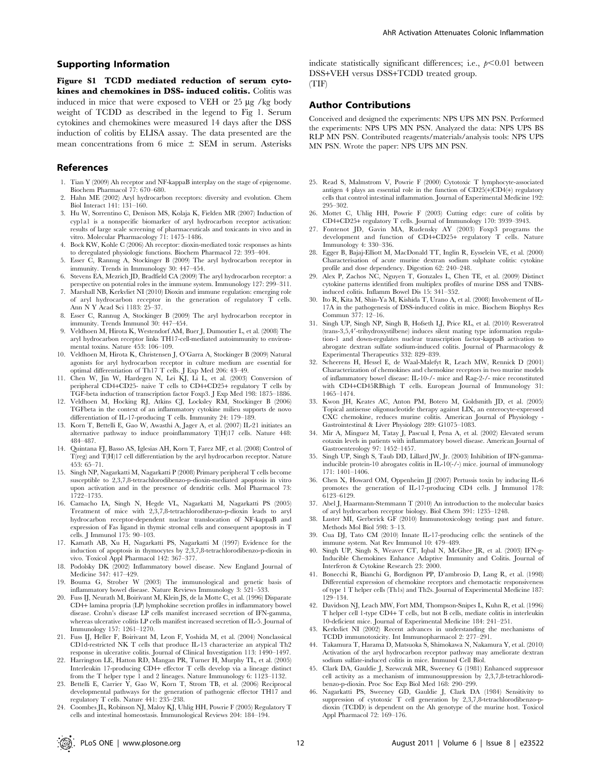#### Supporting Information

Figure S1 TCDD mediated reduction of serum cytokines and chemokines in DSS- induced colitis. Colitis was induced in mice that were exposed to VEH or  $25 \mu g$  /kg body weight of TCDD as described in the legend to Fig 1. Serum cytokines and chemokines were measured 14 days after the DSS induction of colitis by ELISA assay. The data presented are the mean concentrations from 6 mice  $\pm$  SEM in serum. Asterisks

#### References

- 1. Tian Y (2009) Ah receptor and NF-kappaB interplay on the stage of epigenome. Biochem Pharmacol 77: 670–680.
- 2. Hahn ME (2002) Aryl hydrocarbon receptors: diversity and evolution. Chem Biol Interact 141: 131–160.
- 3. Hu W, Sorrentino C, Denison MS, Kolaja K, Fielden MR (2007) Induction of cyp1a1 is a nonspecific biomarker of aryl hydrocarbon receptor activation: results of large scale screening of pharmaceuticals and toxicants in vivo and in vitro. Molecular Pharmacology 71: 1475–1486.
- 4. Bock KW, Kohle C (2006) Ah receptor: dioxin-mediated toxic responses as hints to deregulated physiologic functions. Biochem Pharmacol 72: 393–404.
- 5. Esser C, Rannug A, Stockinger B (2009) The aryl hydrocarbon receptor in immunity. Trends in Immunology 30: 447–454.
- 6. Stevens EA, Mezrich JD, Bradfield CA (2009) The aryl hydrocarbon receptor: a perspective on potential roles in the immune system. Immunology 127: 299–311.
- 7. Marshall NB, Kerkvliet NI (2010) Dioxin and immune regulation: emerging role of aryl hydrocarbon receptor in the generation of regulatory T cells. Ann N Y Acad Sci 1183: 25–37.
- 8. Esser C, Rannug A, Stockinger B (2009) The aryl hydrocarbon receptor in immunity. Trends Immunol 30: 447–454.
- 9. Veldhoen M, Hirota K, Westendorf AM, Buer J, Dumoutier L, et al. (2008) The aryl hydrocarbon receptor links TH17-cell-mediated autoimmunity to environmental toxins. Nature 453: 106–109.
- 10. Veldhoen M, Hirota K, Christensen J, O'Garra A, Stockinger B (2009) Natural agonists for aryl hydrocarbon receptor in culture medium are essential for optimal differentiation of Th17 T cells. J Exp Med 206: 43–49.
- 11. Chen W, Jin W, Hardegen N, Lei KJ, Li L, et al. (2003) Conversion of peripheral CD4+CD25- naive  $T$  cells to CD4+CD25+ regulatory  $T$  cells by TGF-beta induction of transcription factor Foxp3. J Exp Med 198: 1875–1886.
- 12. Veldhoen M, Hocking RJ, Atkins CJ, Locksley RM, Stockinger B (2006) TGFbeta in the context of an inflammatory cytokine milieu supports de novo differentiation of IL-17-producing T cells. Immunity 24: 179–189.
- 13. Korn T, Bettelli E, Gao W, Awasthi A, Jager A, et al. (2007) IL-21 initiates an alternative pathway to induce proinflammatory T(H)17 cells. Nature 448: 484–487.
- 14. Quintana FJ, Basso AS, Iglesias AH, Korn T, Farez MF, et al. (2008) Control of T(reg) and T(H)17 cell differentiation by the aryl hydrocarbon receptor. Nature 453: 65–71.
- 15. Singh NP, Nagarkatti M, Nagarkatti P (2008) Primary peripheral T cells become susceptible to 2,3,7,8-tetrachlorodibenzo-p-dioxin-mediated apoptosis in vitro upon activation and in the presence of dendritic cells. Mol Pharmacol 73: 1722–1735.
- 16. Camacho IA, Singh N, Hegde VL, Nagarkatti M, Nagarkatti PS (2005) Treatment of mice with 2,3,7,8-tetrachlorodibenzo-p-dioxin leads to aryl hydrocarbon receptor-dependent nuclear translocation of NF-kappaB and expression of Fas ligand in thymic stromal cells and consequent apoptosis in T cells. J Immunol 175: 90–103.
- 17. Kamath AB, Xu H, Nagarkatti PS, Nagarkatti M (1997) Evidence for the induction of apoptosis in thymocytes by 2,3,7,8-tetrachlorodibenzo-p-dioxin in vivo. Toxicol Appl Pharmacol 142: 367–377.
- 18. Podolsky DK (2002) Inflammatory bowel disease. New England Journal of Medicine 347: 417–429.
- 19. Bouma G, Strober W (2003) The immunological and genetic basis of inflammatory bowel disease. Nature Reviews Immunology 3: 521–533.
- 20. Fuss IJ, Neurath M, Boirivant M, Klein JS, de la Motte C, et al. (1996) Disparate CD4+ lamina propria (LP) lymphokine secretion profiles in inflammatory bowel disease. Crohn's disease LP cells manifest increased secretion of IFN-gamma, whereas ulcerative colitis LP cells manifest increased secretion of IL-5. Journal of Immunology 157: 1261–1270.
- 21. Fuss IJ, Heller F, Boirivant M, Leon F, Yoshida M, et al. (2004) Nonclassical CD1d-restricted NK T cells that produce IL-13 characterize an atypical Th2 response in ulcerative colitis. Journal of Clinical Investigation 113: 1490–1497.
- 22. Harrington LE, Hatton RD, Mangan PR, Turner H, Murphy TL, et al. (2005) Interleukin 17-producing CD4+ effector T cells develop via a lineage distinct from the T helper type 1 and 2 lineages. Nature Immunology 6: 1123–1132.
- 23. Bettelli E, Carrier Y, Gao W, Korn T, Strom TB, et al. (2006) Reciprocal developmental pathways for the generation of pathogenic effector TH17 and regulatory T cells. Nature 441: 235–238.
- 24. Coombes JL, Robinson NJ, Maloy KJ, Uhlig HH, Powrie F (2005) Regulatory T cells and intestinal homeostasis. Immunological Reviews 204: 184–194.

indicate statistically significant differences; i.e.,  $p<0.01$  between DSS+VEH versus DSS+TCDD treated group. (TIF)

#### Author Contributions

Conceived and designed the experiments: NPS UPS MN PSN. Performed the experiments: NPS UPS MN PSN. Analyzed the data: NPS UPS BS RLP MN PSN. Contributed reagents/materials/analysis tools: NPS UPS MN PSN. Wrote the paper: NPS UPS MN PSN.

- 25. Read S, Malmstrom V, Powrie F (2000) Cytotoxic T lymphocyte-associated antigen 4 plays an essential role in the function of  $CD25(+)CD4(+)$  regulatory cells that control intestinal inflammation. Journal of Experimental Medicine 192: 295–302.
- 26. Mottet C, Uhlig HH, Powrie F (2003) Cutting edge: cure of colitis by CD4+CD25+ regulatory T cells. Journal of Immunology 170: 3939–3943.
- 27. Fontenot JD, Gavin MA, Rudensky AY (2003) Foxp3 programs the development and function of CD4+CD25+ regulatory T cells. Nature Immunology 4: 330–336.
- 28. Egger B, Bajaj-Elliott M, MacDonald TT, Inglin R, Eysselein VE, et al. (2000) Characterisation of acute murine dextran sodium sulphate colitis: cytokine profile and dose dependency. Digestion 62: 240–248.
- 29. Alex P, Zachos NC, Nguyen T, Gonzales L, Chen TE, et al. (2009) Distinct cytokine patterns identified from multiplex profiles of murine DSS and TNBSinduced colitis. Inflamm Bowel Dis 15: 341–352.
- 30. Ito R, Kita M, Shin-Ya M, Kishida T, Urano A, et al. (2008) Involvement of IL-17A in the pathogenesis of DSS-induced colitis in mice. Biochem Biophys Res Commun 377: 12–16.
- 31. Singh UP, Singh NP, Singh B, Hofseth LJ, Price RL, et al. (2010) Resveratrol (trans-3,5,4'-trihydroxystilbene) induces silent mating type information regulation-1 and down-regulates nuclear transcription factor-kappaB activation to abrogate dextran sulfate sodium-induced colitis. Journal of Pharmacology & Experimental Therapeutics 332: 829–839.
- 32. Scheerens H, Hessel E, de Waal-Malefyt R, Leach MW, Rennick D (2001) Characterization of chemokines and chemokine receptors in two murine models of inflammatory bowel disease: IL-10-/- mice and Rag-2-/- mice reconstituted with CD4+CD45RBhigh T cells. European Journal of Immunology 31: 1465–1474.
- 33. Kwon JH, Keates AC, Anton PM, Botero M, Goldsmith JD, et al. (2005) Topical antisense oligonucleotide therapy against LIX, an enterocyte-expressed CXC chemokine, reduces murine colitis. American Journal of Physiology -Gastrointestinal & Liver Physiology 289: G1075–1083.
- 34. Mir A, Minguez M, Tatay J, Pascual I, Pena A, et al. (2002) Elevated serum eotaxin levels in patients with inflammatory bowel disease. American Journal of Gastroenterology 97: 1452–1457.
- 35. Singh UP, Singh S, Taub DD, Lillard JW, Jr. (2003) Inhibition of IFN-gammainducible protein-10 abrogates colitis in IL-10(-/-) mice. journal of immunology 171: 1401–1406.
- 36. Chen X, Howard OM, Oppenheim JJ (2007) Pertussis toxin by inducing IL-6 promotes the generation of IL-17-producing CD4 cells. J Immunol 178: 6123–6129.
- 37. Abel J, Haarmann-Stemmann T (2010) An introduction to the molecular basics of aryl hydrocarbon receptor biology. Biol Chem 391: 1235–1248.
- 38. Luster MI, Gerberick GF (2010) Immunotoxicology testing: past and future. Methods Mol Biol 598: 3–13.
- 39. Cua DJ, Tato CM (2010) Innate IL-17-producing cells: the sentinels of the immune system. Nat Rev Immunol 10: 479–489.
- 40. Singh UP, Singh S, Weaver CT, Iqbal N, McGhee JR, et al. (2003) IFN-g-Inducible Chemokines Enhance Adaptive Immunity and Colitis. Journal of Interferon & Cytokine Research 23: 2000.
- 41. Bonecchi R, Bianchi G, Bordignon PP, D'ambrosio D, Lang R, et al. (1998) Differential expression of chemokine receptors and chemotactic responsiveness of type 1 T helper cells (Th1s) and Th2s. Journal of Experimental Medicine 187: 129–134.
- 42. Davidson NJ, Leach MW, Fort MM, Thompson-Snipes L, Kuhn R, et al. (1996) T helper cell 1-type CD4+ T cells, but not B cells, mediate colitis in interleukin 10-deficient mice. Journal of Experimental Medicine 184: 241–251.
- 43. Kerkvliet NI (2002) Recent advances in understanding the mechanisms of TCDD immunotoxicity. Int Immunopharmacol 2: 277–291.
- 44. Takamura T, Harama D, Matsuoka S, Shimokawa N, Nakamura Y, et al. (2010) Activation of the aryl hydrocarbon receptor pathway may ameliorate dextran sodium sulfate-induced colitis in mice. Immunol Cell Biol.
- 45. Clark DA, Gauldie J, Szewczuk MR, Sweeney G (1981) Enhanced suppressor cell activity as a mechanism of immunosuppression by 2,3,7,8-tetrachlorodibenzo-p-dioxin. Proc Soc Exp Biol Med 168: 290–299.
- 46. Nagarkatti PS, Sweeney GD, Gauldie J, Clark DA (1984) Sensitivity to suppression of cytotoxic T cell generation by 2,3,7,8-tetrachlorodibenzo-pdioxin (TCDD) is dependent on the Ah genotype of the murine host. Toxicol Appl Pharmacol 72: 169–176.